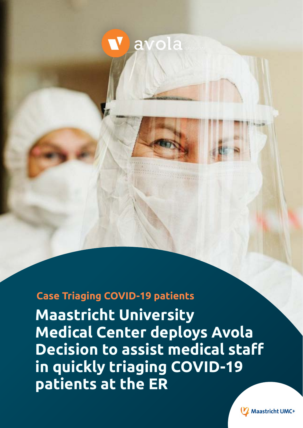## avola

**Case Triaging COVID-19 patients**

**Maastricht University Medical Center deploys Avola Decision to assist medical staff in quickly triaging COVID-19 patients at the ER**

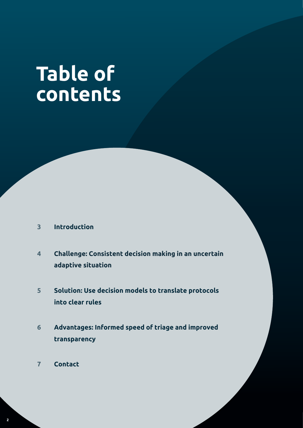# **Table of contents**

- **3 Introduction**
- **Challenge: Consistent decision making in an uncertain adaptive situation 4**
- **Solution: Use decision models to translate protocols into clear rules 5**
- **Advantages: Informed speed of triage and improved transparency 6**
- **7 Contact**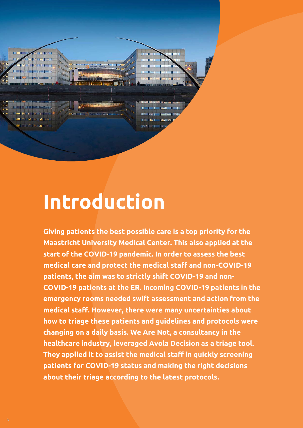

## **Introduction**

**Giving patients the best possible care is a top priority for the Maastricht University Medical Center. This also applied at the start of the COVID-19 pandemic. In order to assess the best medical care and protect the medical staff and non-COVID-19 patients, the aim was to strictly shift COVID-19 and non-COVID-19 patients at the ER. Incoming COVID-19 patients in the emergency rooms needed swift assessment and action from the medical staff. However, there were many uncertainties about how to triage these patients and guidelines and protocols were changing on a daily basis. We Are Not, a consultancy in the healthcare industry, leveraged Avola Decision as a triage tool. They applied it to assist the medical staff in quickly screening patients for COVID-19 status and making the right decisions about their triage according to the latest protocols.**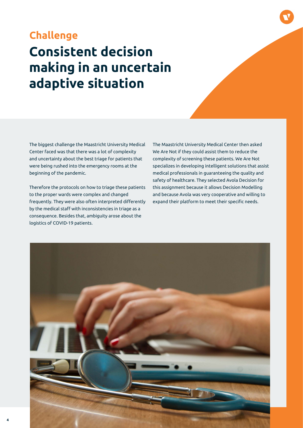### **Consistent decision making in an uncertain adaptive situation Challenge**

The biggest challenge the Maastricht University Medical Center faced was that there was a lot of complexity and uncertainty about the best triage for patients that were being rushed into the emergency rooms at the beginning of the pandemic.

Therefore the protocols on how to triage these patients to the proper wards were complex and changed frequently. They were also often interpreted differently by the medical staff with inconsistencies in triage as a consequence. Besides that, ambiguity arose about the logistics of COVID-19 patients.

The Maastricht University Medical Center then asked We Are Not if they could assist them to reduce the complexity of screening these patients. We Are Not specializes in developing intelligent solutions that assist medical professionals in guaranteeing the quality and safety of healthcare. They selected Avola Decision for this assignment because it allows Decision Modelling and because Avola was very cooperative and willing to expand their platform to meet their specific needs.

![](_page_3_Picture_4.jpeg)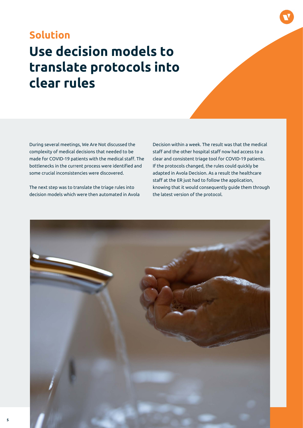### **Use decision models to translate protocols into clear rules Solution**

During several meetings, We Are Not discussed the complexity of medical decisions that needed to be made for COVID-19 patients with the medical staff. The bottlenecks in the current process were identified and some crucial inconsistencies were discovered.

The next step was to translate the triage rules into decision models which were then automated in Avola Decision within a week. The result was that the medical staff and the other hospital staff now had access to a clear and consistent triage tool for COVID-19 patients. If the protocols changed, the rules could quickly be adapted in Avola Decision. As a result the healthcare staff at the ER just had to follow the application, knowing that it would consequently guide them through the latest version of the protocol.

![](_page_4_Picture_4.jpeg)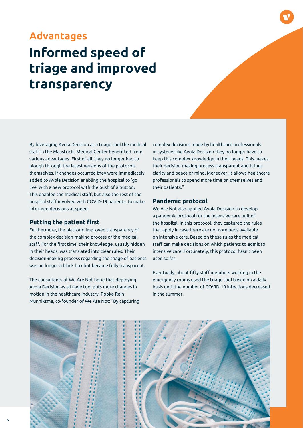### **Informed speed of triage and improved transparency Advantages**

By leveraging Avola Decision as a triage tool the medical staff in the Maastricht Medical Center benefitted from various advantages. First of all, they no longer had to plough through the latest versions of the protocols themselves. If changes occurred they were immediately added to Avola Decision enabling the hospital to 'go live' with a new protocol with the push of a button. This enabled the medical staff, but also the rest of the hospital staff involved with COVID-19 patients, to make informed decisions at speed.

#### **Putting the patient first**

Furthermore, the platform improved transparency of the complex decision-making process of the medical staff. For the first time, their knowledge, usually hidden in their heads, was translated into clear rules. Their decision-making process regarding the triage of patients was no longer a black box but became fully transparent.

The consultants of We Are Not hope that deploying Avola Decision as a triage tool puts more changes in motion in the healthcare industry. Popke Rein Munniksma, co-founder of We Are Not: "By capturing complex decisions made by healthcare professionals in systems like Avola Decision they no longer have to keep this complex knowledge in their heads. This makes their decision-making process transparent and brings clarity and peace of mind. Moreover, it allows healthcare professionals to spend more time on themselves and their patients."

#### **Pandemic protocol**

We Are Not also applied Avola Decision to develop a pandemic protocol for the intensive care unit of the hospital. In this protocol, they captured the rules that apply in case there are no more beds available on intensive care. Based on these rules the medical staff can make decisions on which patients to admit to intensive care. Fortunately, this protocol hasn't been used so far.

Eventually, about fifty staff members working in the emergency rooms used the triage tool based on a daily basis until the number of COVID-19 infections decreased in the summer.

![](_page_5_Picture_9.jpeg)